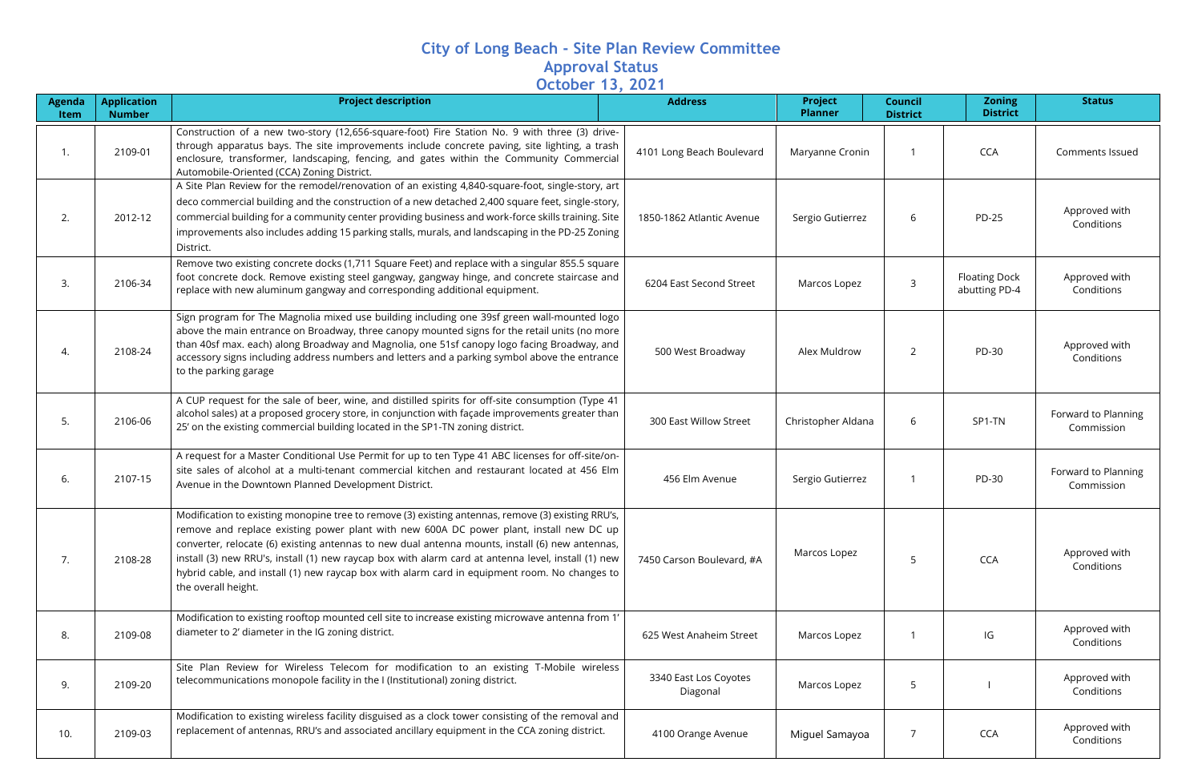## **City of Long Beach - Site Plan Review Committee Approval Status October 13, 2021**

| <b>Agenda</b><br>Item | <b>Application</b><br><b>Number</b> | <b>Project description</b>                                                                                                                                                                                                                                                                                                                                                                                                                                                                                                      | <b>Address</b>                    | <b>Project</b><br><b>Planner</b> | <b>Council</b><br><b>District</b> | <b>Zoning</b><br><b>District</b>      | <b>Status</b>                     |
|-----------------------|-------------------------------------|---------------------------------------------------------------------------------------------------------------------------------------------------------------------------------------------------------------------------------------------------------------------------------------------------------------------------------------------------------------------------------------------------------------------------------------------------------------------------------------------------------------------------------|-----------------------------------|----------------------------------|-----------------------------------|---------------------------------------|-----------------------------------|
| 1.                    | 2109-01                             | Construction of a new two-story (12,656-square-foot) Fire Station No. 9 with three (3) drive-<br>through apparatus bays. The site improvements include concrete paving, site lighting, a trash<br>enclosure, transformer, landscaping, fencing, and gates within the Community Commercial<br>Automobile-Oriented (CCA) Zoning District.                                                                                                                                                                                         | 4101 Long Beach Boulevard         | Maryanne Cronin                  |                                   | <b>CCA</b>                            | Comments Issued                   |
| 2.                    | 2012-12                             | A Site Plan Review for the remodel/renovation of an existing 4,840-square-foot, single-story, art<br>deco commercial building and the construction of a new detached 2,400 square feet, single-story,<br>commercial building for a community center providing business and work-force skills training. Site<br>improvements also includes adding 15 parking stalls, murals, and landscaping in the PD-25 Zoning<br>District.                                                                                                    | 1850-1862 Atlantic Avenue         | Sergio Gutierrez                 | 6                                 | <b>PD-25</b>                          | Approved with<br>Conditions       |
| 3.                    | 2106-34                             | Remove two existing concrete docks (1,711 Square Feet) and replace with a singular 855.5 square<br>foot concrete dock. Remove existing steel gangway, gangway hinge, and concrete staircase and<br>replace with new aluminum gangway and corresponding additional equipment.                                                                                                                                                                                                                                                    | 6204 East Second Street           | Marcos Lopez                     | 3                                 | <b>Floating Dock</b><br>abutting PD-4 | Approved with<br>Conditions       |
| 4.                    | 2108-24                             | Sign program for The Magnolia mixed use building including one 39sf green wall-mounted logo<br>above the main entrance on Broadway, three canopy mounted signs for the retail units (no more<br>than 40sf max. each) along Broadway and Magnolia, one 51sf canopy logo facing Broadway, and<br>accessory signs including address numbers and letters and a parking symbol above the entrance<br>to the parking garage                                                                                                           | 500 West Broadway                 | Alex Muldrow                     | $\overline{2}$                    | PD-30                                 | Approved with<br>Conditions       |
| 5.                    | 2106-06                             | A CUP request for the sale of beer, wine, and distilled spirits for off-site consumption (Type 41<br>alcohol sales) at a proposed grocery store, in conjunction with façade improvements greater than<br>25' on the existing commercial building located in the SP1-TN zoning district.                                                                                                                                                                                                                                         | 300 East Willow Street            | Christopher Aldana               | 6                                 | SP1-TN                                | Forward to Planning<br>Commission |
| 6.                    | 2107-15                             | A request for a Master Conditional Use Permit for up to ten Type 41 ABC licenses for off-site/on-<br>site sales of alcohol at a multi-tenant commercial kitchen and restaurant located at 456 Elm<br>Avenue in the Downtown Planned Development District.                                                                                                                                                                                                                                                                       | 456 Elm Avenue                    | Sergio Gutierrez                 | 1                                 | PD-30                                 | Forward to Planning<br>Commission |
| 7.                    | 2108-28                             | Modification to existing monopine tree to remove (3) existing antennas, remove (3) existing RRU's,<br>remove and replace existing power plant with new 600A DC power plant, install new DC up<br>converter, relocate (6) existing antennas to new dual antenna mounts, install (6) new antennas,<br>install (3) new RRU's, install (1) new raycap box with alarm card at antenna level, install (1) new<br>hybrid cable, and install (1) new raycap box with alarm card in equipment room. No changes to<br>the overall height. | 7450 Carson Boulevard, #A         | Marcos Lopez                     | 5                                 | <b>CCA</b>                            | Approved with<br>Conditions       |
| 8.                    | 2109-08                             | Modification to existing rooftop mounted cell site to increase existing microwave antenna from 1'<br>diameter to 2' diameter in the IG zoning district.                                                                                                                                                                                                                                                                                                                                                                         | 625 West Anaheim Street           | Marcos Lopez                     |                                   | IG                                    | Approved with<br>Conditions       |
| 9.                    | 2109-20                             | Site Plan Review for Wireless Telecom for modification to an existing T-Mobile wireless<br>telecommunications monopole facility in the I (Institutional) zoning district.                                                                                                                                                                                                                                                                                                                                                       | 3340 East Los Coyotes<br>Diagonal | Marcos Lopez                     | 5                                 |                                       | Approved with<br>Conditions       |
| 10.                   | 2109-03                             | Modification to existing wireless facility disguised as a clock tower consisting of the removal and<br>replacement of antennas, RRU's and associated ancillary equipment in the CCA zoning district.                                                                                                                                                                                                                                                                                                                            | 4100 Orange Avenue                | Miguel Samayoa                   | $\overline{7}$                    | <b>CCA</b>                            | Approved with<br>Conditions       |